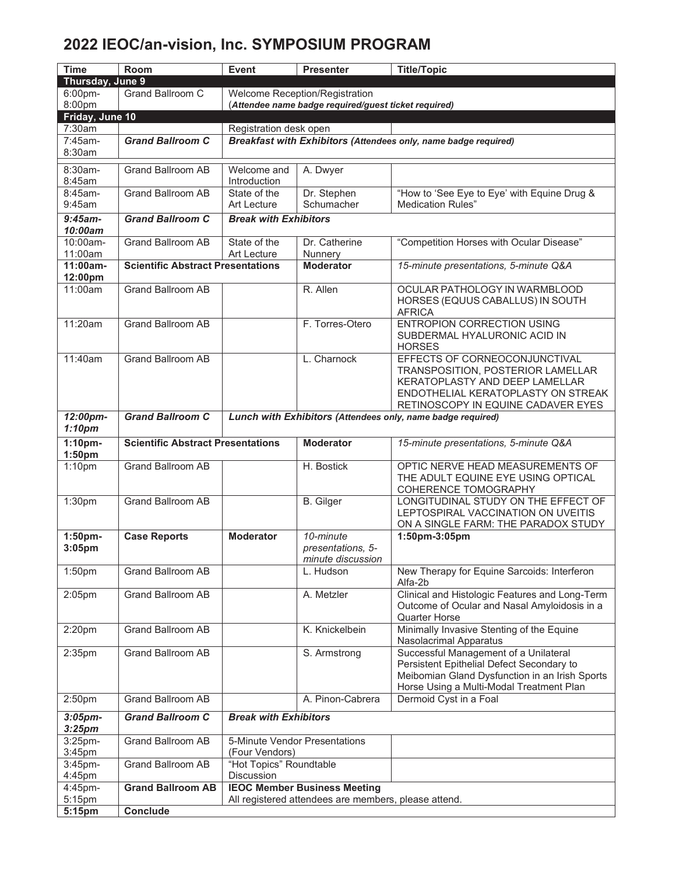## **2022 IEOC/an-vision, Inc. SYMPOSIUM PROGRAM**

| <b>Time</b>        | <b>Room</b>                                                 | <b>Event</b>                                                    | <b>Presenter</b>  | <b>Title/Topic</b>                                                  |  |  |
|--------------------|-------------------------------------------------------------|-----------------------------------------------------------------|-------------------|---------------------------------------------------------------------|--|--|
| Thursday, June 9   |                                                             |                                                                 |                   |                                                                     |  |  |
| 6:00pm-            | <b>Grand Ballroom C</b>                                     | Welcome Reception/Registration                                  |                   |                                                                     |  |  |
| 8:00pm             |                                                             | (Attendee name badge required/guest ticket required)            |                   |                                                                     |  |  |
| Friday, June 10    |                                                             |                                                                 |                   |                                                                     |  |  |
| 7:30am             |                                                             | Registration desk open                                          |                   |                                                                     |  |  |
| 7:45am-            | <b>Grand Ballroom C</b>                                     | Breakfast with Exhibitors (Attendees only, name badge required) |                   |                                                                     |  |  |
| 8:30am             |                                                             |                                                                 |                   |                                                                     |  |  |
| 8:30am-            | Grand Ballroom AB                                           | Welcome and                                                     | A. Dwyer          |                                                                     |  |  |
| 8:45am             |                                                             | Introduction                                                    |                   |                                                                     |  |  |
| 8:45am-            | <b>Grand Ballroom AB</b>                                    | State of the                                                    | Dr. Stephen       | "How to 'See Eye to Eye' with Equine Drug &                         |  |  |
| 9:45am             |                                                             | <b>Art Lecture</b>                                              | Schumacher        | <b>Medication Rules"</b>                                            |  |  |
| $9:45$ am-         | <b>Grand Ballroom C</b>                                     | <b>Break with Exhibitors</b>                                    |                   |                                                                     |  |  |
| 10:00am            |                                                             |                                                                 |                   |                                                                     |  |  |
| 10:00am-           | Grand Ballroom AB                                           | State of the                                                    | Dr. Catherine     | "Competition Horses with Ocular Disease"                            |  |  |
| 11:00am            |                                                             | Art Lecture                                                     | Nunnery           |                                                                     |  |  |
| 11:00am-           | <b>Scientific Abstract Presentations</b>                    |                                                                 | <b>Moderator</b>  | 15-minute presentations, 5-minute Q&A                               |  |  |
| 12:00pm            |                                                             |                                                                 |                   |                                                                     |  |  |
| 11:00am            | <b>Grand Ballroom AB</b>                                    |                                                                 | R. Allen          | OCULAR PATHOLOGY IN WARMBLOOD                                       |  |  |
|                    |                                                             |                                                                 |                   | HORSES (EQUUS CABALLUS) IN SOUTH                                    |  |  |
|                    |                                                             |                                                                 |                   | <b>AFRICA</b>                                                       |  |  |
| 11:20am            | <b>Grand Ballroom AB</b>                                    |                                                                 | F. Torres-Otero   | <b>ENTROPION CORRECTION USING</b>                                   |  |  |
|                    |                                                             |                                                                 |                   | SUBDERMAL HYALURONIC ACID IN                                        |  |  |
|                    | <b>Grand Ballroom AB</b>                                    |                                                                 |                   | <b>HORSES</b>                                                       |  |  |
| 11:40am            |                                                             |                                                                 | L. Charnock       | EFFECTS OF CORNEOCONJUNCTIVAL                                       |  |  |
|                    |                                                             |                                                                 |                   | TRANSPOSITION, POSTERIOR LAMELLAR<br>KERATOPLASTY AND DEEP LAMELLAR |  |  |
|                    |                                                             |                                                                 |                   | ENDOTHELIAL KERATOPLASTY ON STREAK                                  |  |  |
|                    |                                                             |                                                                 |                   | RETINOSCOPY IN EQUINE CADAVER EYES                                  |  |  |
| 12:00pm-           | <b>Grand Ballroom C</b>                                     |                                                                 |                   |                                                                     |  |  |
| 1:10 <sub>pm</sub> | Lunch with Exhibitors (Attendees only, name badge required) |                                                                 |                   |                                                                     |  |  |
| 1:10 <sub>pm</sub> |                                                             |                                                                 | <b>Moderator</b>  | 15-minute presentations, 5-minute Q&A                               |  |  |
| 1:50 <sub>pm</sub> | <b>Scientific Abstract Presentations</b>                    |                                                                 |                   |                                                                     |  |  |
| 1:10 <sub>pm</sub> | Grand Ballroom AB                                           |                                                                 | H. Bostick        | OPTIC NERVE HEAD MEASUREMENTS OF                                    |  |  |
|                    |                                                             |                                                                 |                   | THE ADULT EQUINE EYE USING OPTICAL                                  |  |  |
|                    |                                                             |                                                                 |                   | COHERENCE TOMOGRAPHY                                                |  |  |
| 1:30pm             | <b>Grand Ballroom AB</b>                                    |                                                                 | <b>B.</b> Gilger  | LONGITUDINAL STUDY ON THE EFFECT OF                                 |  |  |
|                    |                                                             |                                                                 |                   | LEPTOSPIRAL VACCINATION ON UVEITIS                                  |  |  |
|                    |                                                             |                                                                 |                   | ON A SINGLE FARM: THE PARADOX STUDY                                 |  |  |
| 1:50 <sub>pm</sub> | <b>Case Reports</b>                                         | <b>Moderator</b>                                                | 10-minute         | 1:50pm-3:05pm                                                       |  |  |
| 3:05 <sub>pm</sub> |                                                             |                                                                 | presentations, 5- |                                                                     |  |  |
|                    |                                                             |                                                                 | minute discussion |                                                                     |  |  |
| 1:50pm             | <b>Grand Ballroom AB</b>                                    |                                                                 | L. Hudson         | New Therapy for Equine Sarcoids: Interferon                         |  |  |
|                    |                                                             |                                                                 |                   | Alfa-2b                                                             |  |  |
| 2:05pm             | Grand Ballroom AB                                           |                                                                 | A. Metzler        | Clinical and Histologic Features and Long-Term                      |  |  |
|                    |                                                             |                                                                 |                   | Outcome of Ocular and Nasal Amyloidosis in a                        |  |  |
|                    |                                                             |                                                                 |                   | Quarter Horse                                                       |  |  |
| 2:20pm             | <b>Grand Ballroom AB</b>                                    |                                                                 | K. Knickelbein    | Minimally Invasive Stenting of the Equine<br>Nasolacrimal Apparatus |  |  |
| 2:35pm             | <b>Grand Ballroom AB</b>                                    |                                                                 | S. Armstrong      | Successful Management of a Unilateral                               |  |  |
|                    |                                                             |                                                                 |                   | Persistent Epithelial Defect Secondary to                           |  |  |
|                    |                                                             |                                                                 |                   | Meibomian Gland Dysfunction in an Irish Sports                      |  |  |
|                    |                                                             |                                                                 |                   | Horse Using a Multi-Modal Treatment Plan                            |  |  |
| 2:50 <sub>pm</sub> | <b>Grand Ballroom AB</b>                                    |                                                                 | A. Pinon-Cabrera  | Dermoid Cyst in a Foal                                              |  |  |
|                    |                                                             |                                                                 |                   |                                                                     |  |  |
| $3:05$ pm-         | <b>Grand Ballroom C</b>                                     | <b>Break with Exhibitors</b>                                    |                   |                                                                     |  |  |
| 3:25 <sub>pm</sub> |                                                             |                                                                 |                   |                                                                     |  |  |
| 3:25pm-            | <b>Grand Ballroom AB</b>                                    | 5-Minute Vendor Presentations                                   |                   |                                                                     |  |  |
| 3:45pm             | <b>Grand Ballroom AB</b>                                    | (Four Vendors)<br>"Hot Topics" Roundtable                       |                   |                                                                     |  |  |
| 3:45pm-<br>4:45pm  |                                                             | Discussion                                                      |                   |                                                                     |  |  |
| 4:45pm-            | <b>Grand Ballroom AB</b>                                    | <b>IEOC Member Business Meeting</b>                             |                   |                                                                     |  |  |
| 5:15 <sub>pm</sub> |                                                             |                                                                 |                   |                                                                     |  |  |
| 5:15pm             | Conclude                                                    | All registered attendees are members, please attend.            |                   |                                                                     |  |  |
|                    |                                                             |                                                                 |                   |                                                                     |  |  |